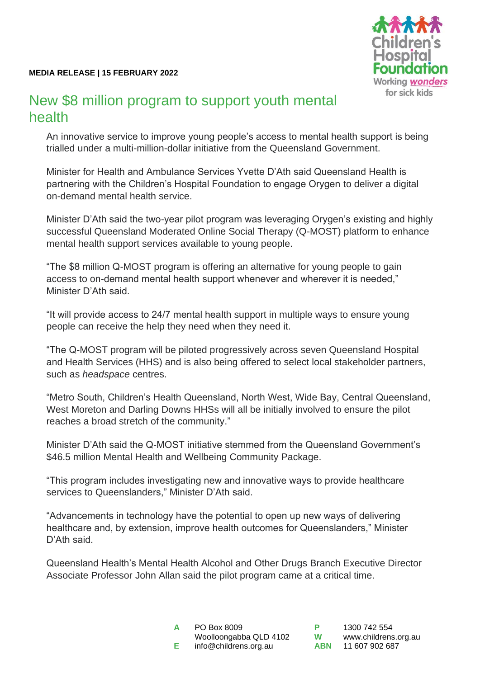

## New \$8 million program to support youth mental health

An innovative service to improve young people's access to mental health support is being trialled under a multi-million-dollar initiative from the Queensland Government.

Minister for Health and Ambulance Services Yvette D'Ath said Queensland Health is partnering with the Children's Hospital Foundation to engage Orygen to deliver a digital on-demand mental health service.

Minister D'Ath said the two-year pilot program was leveraging Orygen's existing and highly successful Queensland Moderated Online Social Therapy (Q-MOST) platform to enhance mental health support services available to young people.

"The \$8 million Q-MOST program is offering an alternative for young people to gain access to on-demand mental health support whenever and wherever it is needed," Minister D'Ath said.

"It will provide access to 24/7 mental health support in multiple ways to ensure young people can receive the help they need when they need it.

"The Q-MOST program will be piloted progressively across seven Queensland Hospital and Health Services (HHS) and is also being offered to select local stakeholder partners, such as *headspace* centres.

"Metro South, Children's Health Queensland, North West, Wide Bay, Central Queensland, West Moreton and Darling Downs HHSs will all be initially involved to ensure the pilot reaches a broad stretch of the community."

Minister D'Ath said the Q-MOST initiative stemmed from the Queensland Government's \$46.5 million Mental Health and Wellbeing Community Package.

"This program includes investigating new and innovative ways to provide healthcare services to Queenslanders," Minister D'Ath said.

"Advancements in technology have the potential to open up new ways of delivering healthcare and, by extension, improve health outcomes for Queenslanders," Minister D'Ath said.

Queensland Health's Mental Health Alcohol and Other Drugs Branch Executive Director Associate Professor John Allan said the pilot program came at a critical time.

| A | PO Box 8009            |
|---|------------------------|
|   | Woolloongabba QLD 4102 |
| Е | info@childrens.org.au  |

**P** 1300 742 554 **W** [www.childrens.org.au](http://www.childrens.org.au/)<br>**ABN** 11 607 902 687 **ABN** 11 607 902 687